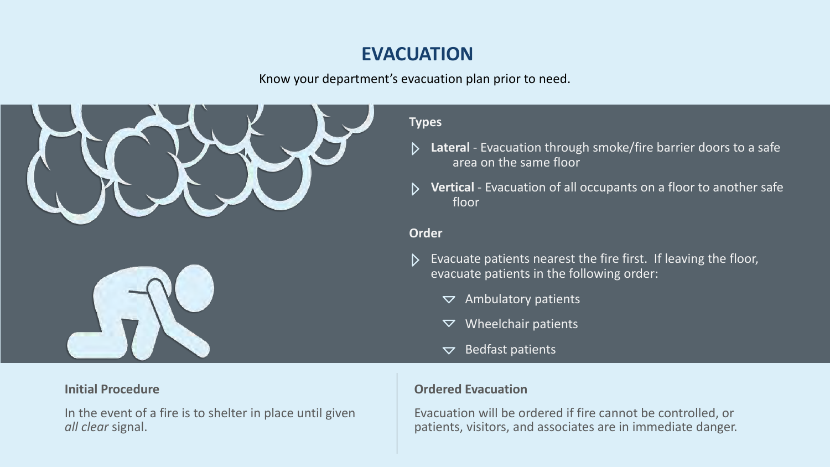# **EVACUATION**



#### **Initial Procedure**

In the event of a fire is to shelter in place until given *all clear* signal.

### **Ordered Evacuation**

Evacuation will be ordered if fire cannot be controlled, or patients, visitors, and associates are in immediate danger.



- Evacuate patients nearest the fire first. If leaving the floor,  $\mathsf{D}$ evacuate patients in the following order:
	- Ambulatory patients  $\blacktriangledown$
	- Wheelchair patients  $\blacktriangledown$
	- Bedfast patients $\boldsymbol{\nabla}$

Know your department's evacuation plan prior to need.

### **Types**

- **Lateral** Evacuation through smoke/fire barrier doors to a safe  $\triangleright$ area on the same floor
- **Vertical** Evacuation of all occupants on a floor to another safe  $\triangleright$ floor

#### **Order**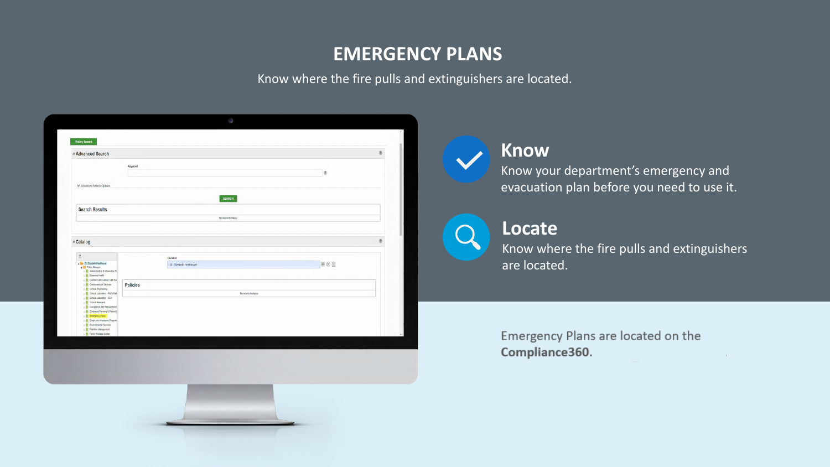Know where the fire pulls and extinguishers are located.

| <b>Advanced Search</b>                                                                                               |                 |                          |                |  |
|----------------------------------------------------------------------------------------------------------------------|-----------------|--------------------------|----------------|--|
|                                                                                                                      | Keyword         |                          | $\overline{3}$ |  |
| <b>₩</b> Advanced Search Options                                                                                     |                 |                          |                |  |
|                                                                                                                      |                 | <b>SEARCH</b>            |                |  |
| <b>Search Results</b>                                                                                                |                 |                          |                |  |
|                                                                                                                      |                 | No records to display    |                |  |
|                                                                                                                      |                 |                          |                |  |
| <b>Read Catalog</b>                                                                                                  |                 |                          |                |  |
| $\frac{\pi}{2\pi}$<br>St. Elizabeth Healthcare<br>Policy Manager<br>$\triangleright$ Administrative & Information Se |                 | <b>Division</b>          |                |  |
|                                                                                                                      |                 | St. Elizabeth Healthcare | $-80$          |  |
| <b>Business Health</b><br>Cardiac Cath/Cardiac Cath Re<br><b>DE Cardiovascular Services</b>                          | <b>Policies</b> |                          |                |  |
| <b>DECIMILE A</b> Clinical Engineering<br>Clinical Laboratory - PLP (Prefi-                                          |                 | No records to display    |                |  |
| De Clinical Laboratory - SEH<br>Clinical Research<br><b>D</b> Compliance 360 Resources/Inf                           |                 |                          |                |  |
| <b>Discharge Planning &amp; Patient L</b><br><b>Emergency Plans</b>                                                  |                 |                          |                |  |
| Employee Assistance Program<br><b>Environmental Services</b><br><b>Facilities Management</b>                         |                 |                          |                |  |
| <b>Family Practice Center</b>                                                                                        |                 |                          |                |  |
|                                                                                                                      |                 |                          |                |  |
|                                                                                                                      |                 |                          |                |  |
|                                                                                                                      |                 |                          |                |  |
|                                                                                                                      |                 |                          |                |  |

# **EMERGENCY PLANS**

## **Locate**

Know where the fire pulls and extinguishers are located.

Emergency Plans are located on the Compliance360.

 $\sim 10^4$ 

## **Know**

Know your department's emergency and evacuation plan before you need to use it.

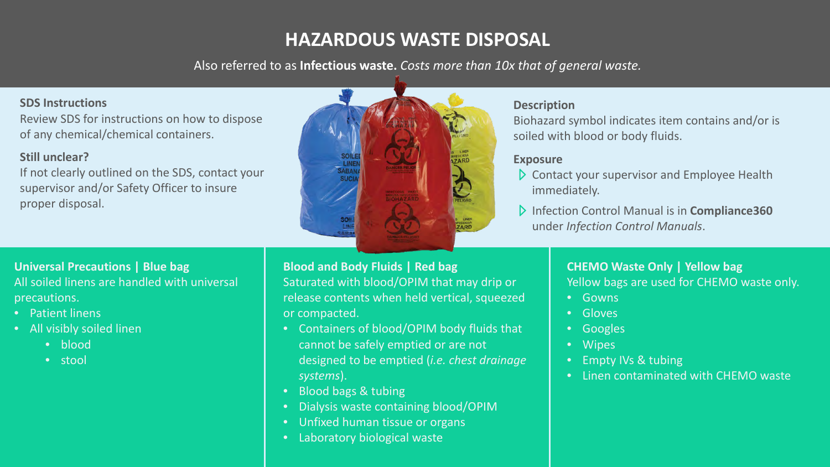# **HAZARDOUS WASTE DISPOSAL**

#### **SDS Instructions**

Review SDS for instructions on how to dispose of any chemical/chemical containers.

#### **Still unclear?**

If not clearly outlined on the SDS, contact your supervisor and/or Safety Officer to insure proper disposal.

- **Contact your supervisor and Employee Health** immediately.
- Infection Control Manual is in **Compliance360** under *Infection Control Manuals*.

Also referred to as **Infectious waste.** *Costs more than 10x that of general waste.*



#### **Description**

Biohazard symbol indicates item contains and/or is soiled with blood or body fluids.

#### **Exposure**

### **Universal Precautions | Blue bag** All soiled linens are handled with universal precautions.

- Patient linens
- All visibly soiled linen
	- blood
	- stool



Saturated with blood/OPIM that may drip or release contents when held vertical, squeezed

• Containers of blood/OPIM body fluids that cannot be safely emptied or are not designed to be emptied (*i.e. chest drainage* 

• Dialysis waste containing blood/OPIM

- *systems*).
- Blood bags & tubing
- 
- Unfixed human tissue or organs
- Laboratory biological waste

#### **CHEMO Waste Only | Yellow bag** Yellow bags are used for CHEMO waste only.

- Gowns
- Gloves
- Googles
- Wipes
- Empty IVs & tubing
- Linen contaminated with CHEMO waste



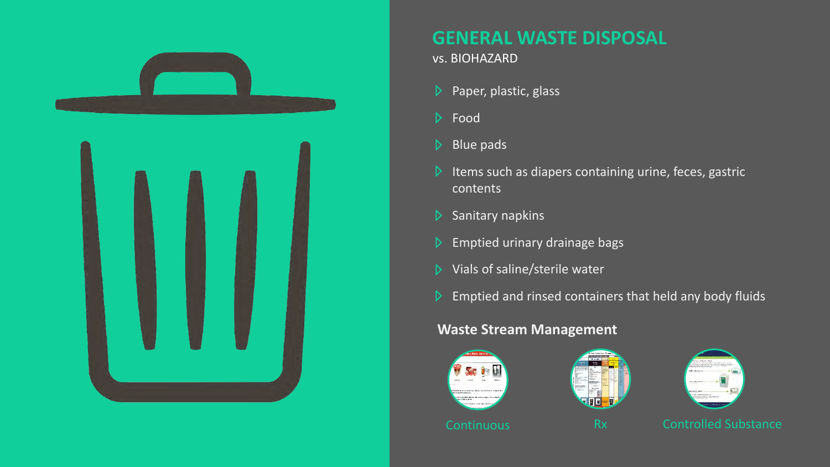



# **GENERAL WASTE DISPOSAL**

### vs. BIOHAZARD

- Paper, plastic, glass  $\triangleright$
- Food
- $\triangleright$  Blue pads
- $\triangleright$  Items such as diapers containing urine, feces, gastric contents
- Sanitary napkins  $\triangleright$
- Emptied urinary drainage bags
- Vials of saline/sterile water  $\triangleright$
- $\triangleright$  Emptied and rinsed containers that held any body fluids

### **Waste Stream Management**







Continuous Rx Controlled Substance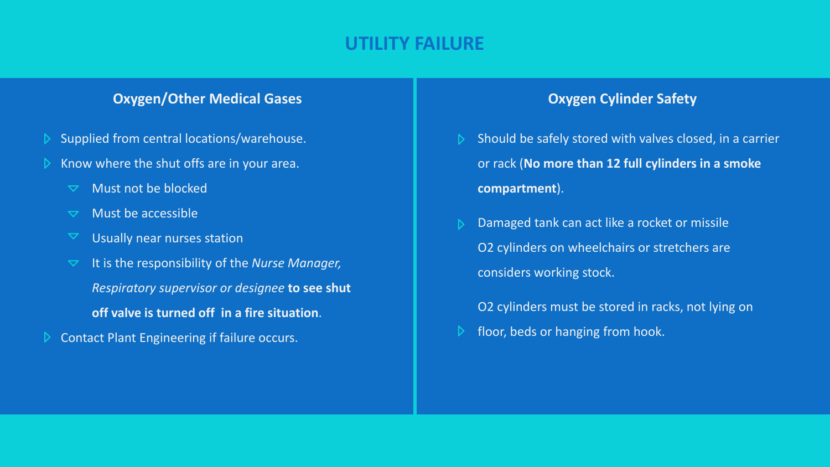### **Oxygen/Other Medical Gases The Case of Case Cylinder Safety**

## **UTILITY FAILURE**

- Supplied from central locations/warehouse.
- Know where the shut offs are in your area.
	- Must not be blocked  $\blacktriangledown$
	- Must be accessible  $\blacktriangledown$
	- $\blacktriangledown$ Usually near nurses station
	- It is the responsibility of the *Nurse Manager,*   $\blacktriangledown$
- Should be safely stored with valves closed, in a carrier  $\triangleright$ or rack (**No more than 12 full cylinders in a smoke compartment**).
- Damaged tank can act like a rocket or missile O2 cylinders on wheelchairs or stretchers are considers working stock.
- O2 cylinders must be stored in racks, not lying on floor, beds or hanging from hook. $\triangleright$



*Respiratory supervisor or designee* **to see shut** 

**off valve is turned off in a fire situation**.

Contact Plant Engineering if failure occurs.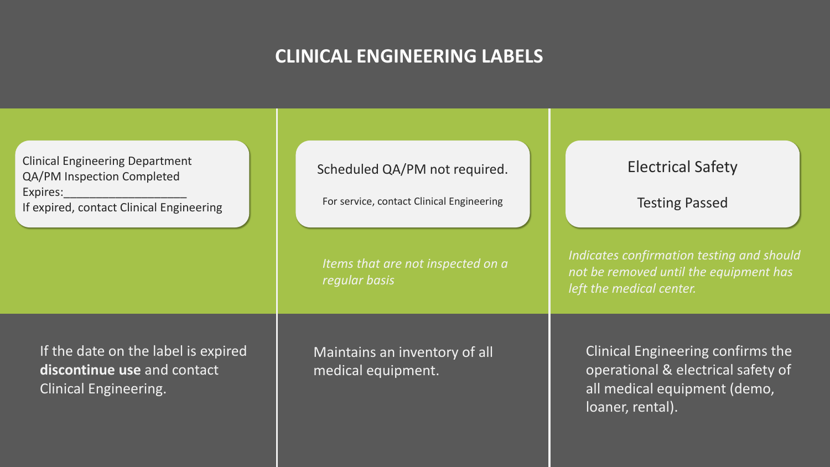# **CLINICAL ENGINEERING LABELS**

Clinical Engineering confirms the operational & electrical safety of all medical equipment (demo, loaner, rental).





| <b>Clinical Engineering Department</b><br><b>QA/PM Inspection Completed</b><br><b>Expires:</b><br>If expired, contact Clinical Engineering | Scheduled QA/<br>For service, contar |  |
|--------------------------------------------------------------------------------------------------------------------------------------------|--------------------------------------|--|
|                                                                                                                                            | Items that are<br>regular basis      |  |
| If the date on the label is expired<br>discontinue use and contact<br><b>Clinical Engineering.</b>                                         | Maintains an i<br>medical equipi     |  |

/PM not required.

ct Clinical Engineering

*not inspected on a* 

nventory of all ment.

*Indicates confirmation testing and should not be removed until the equipment has left the medical center.* 

## Electrical Safety

Testing Passed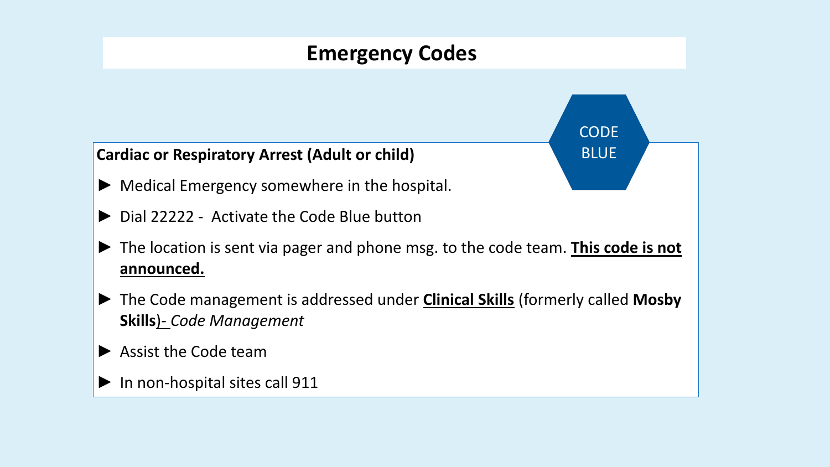## **Cardiac or Respiratory Arrest (Adult or child)**

- ► Medical Emergency somewhere in the hospital.
- ► Dial 22222 Activate the Code Blue button
- **announced.**
- **Skills**)- *Code Management*
- ► Assist the Code team
- ► In non-hospital sites call 911

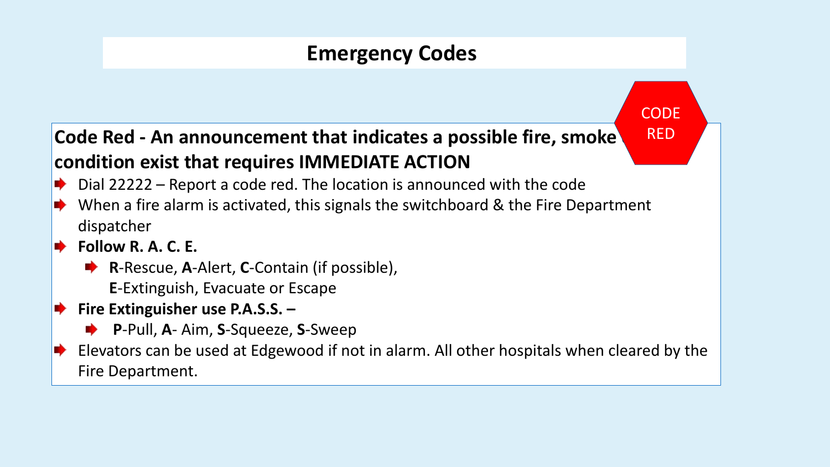# **Emergency Codes**

# **Code Red - An announcement that indicates a possible fire, smoke condition exist that requires IMMEDIATE ACTION**

- Dial 22222 Report a code red. The location is announced with the code
- When a fire alarm is activated, this signals the switchboard & the Fire Department **SP** dispatcher
	- **Follow R. A. C. E.** 
		- **R**-Rescue, A-Alert, C-Contain (if possible), **E**-Extinguish, Evacuate or Escape
- **Fire Extinguisher use P.A.S.S.** 
	- **P**-Pull, **A** Aim, **S**-Squeeze, **S**-Sweep
	- Fire Department.

Elevators can be used at Edgewood if not in alarm. All other hospitals when cleared by the

**CODE** 

RED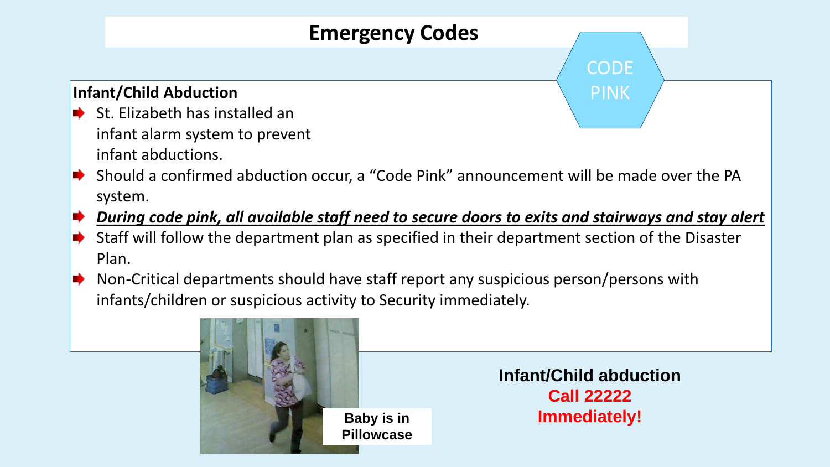## **Infant/Child Abduction**

- St. Elizabeth has installed an infant alarm system to prevent infant abductions.
- 
- system.
- ⋫
- 
- Plan.
- E) infants/children or suspicious activity to Security immediately.

**Infant/Child abduction Call 22222 Baby is in The Immediately!** 

## *During code pink, all available staff need to secure doors to exits and stairways and stay alert* Staff will follow the department plan as specified in their department section of the Disaster

Non-Critical departments should have staff report any suspicious person/persons with





■ Should a confirmed abduction occur, a "Code Pink" announcement will be made over the PA